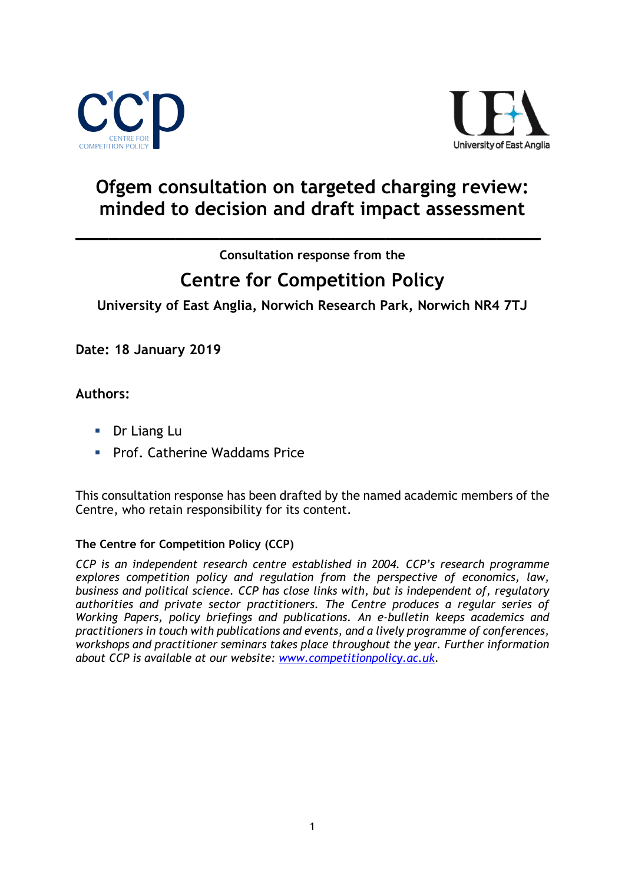



## **Ofgem consultation on targeted charging review: minded to decision and draft impact assessment**

**Consultation response from the**

**\_\_\_\_\_\_\_\_\_\_\_\_\_\_\_\_\_\_\_\_\_\_\_\_\_\_\_\_\_\_\_\_\_\_\_\_\_\_\_\_\_\_**

# **Centre for Competition Policy**

**University of East Anglia, Norwich Research Park, Norwich NR4 7TJ**

**Date: 18 January 2019**

**Authors:**

- **Dr Liang Lu**
- **Prof. Catherine Waddams Price**

This consultation response has been drafted by the named academic members of the Centre, who retain responsibility for its content.

### **The Centre for Competition Policy (CCP)**

*CCP is an independent research centre established in 2004. CCP's research programme explores competition policy and regulation from the perspective of economics, law, business and political science. CCP has close links with, but is independent of, regulatory authorities and private sector practitioners. The Centre produces a regular series of Working Papers, policy briefings and publications. An e-bulletin keeps academics and practitioners in touch with publications and events, and a lively programme of conferences, workshops and practitioner seminars takes place throughout the year. Further information about CCP is available at our website: [www.competitionpolicy.ac.uk](http://www.competitionpolicy.ac.uk/)*.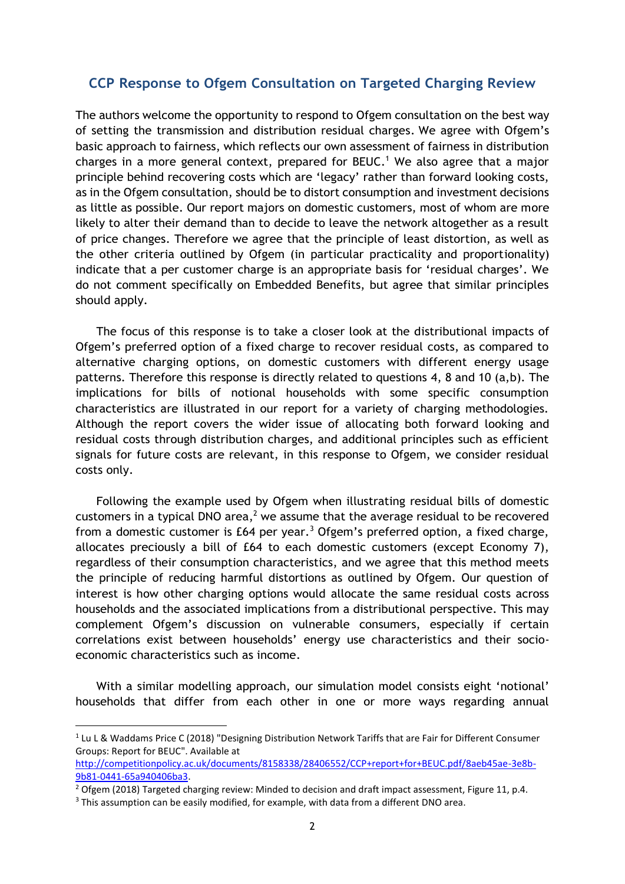#### **CCP Response to Ofgem Consultation on Targeted Charging Review**

The authors welcome the opportunity to respond to Ofgem consultation on the best way of setting the transmission and distribution residual charges. We agree with Ofgem's basic approach to fairness, which reflects our own assessment of fairness in distribution charges in a more general context, prepared for BEUC. <sup>1</sup> We also agree that a major principle behind recovering costs which are 'legacy' rather than forward looking costs, as in the Ofgem consultation, should be to distort consumption and investment decisions as little as possible. Our report majors on domestic customers, most of whom are more likely to alter their demand than to decide to leave the network altogether as a result of price changes. Therefore we agree that the principle of least distortion, as well as the other criteria outlined by Ofgem (in particular practicality and proportionality) indicate that a per customer charge is an appropriate basis for 'residual charges'. We do not comment specifically on Embedded Benefits, but agree that similar principles should apply.

The focus of this response is to take a closer look at the distributional impacts of Ofgem's preferred option of a fixed charge to recover residual costs, as compared to alternative charging options, on domestic customers with different energy usage patterns. Therefore this response is directly related to questions 4, 8 and 10 (a,b). The implications for bills of notional households with some specific consumption characteristics are illustrated in our report for a variety of charging methodologies. Although the report covers the wider issue of allocating both forward looking and residual costs through distribution charges, and additional principles such as efficient signals for future costs are relevant, in this response to Ofgem, we consider residual costs only.

Following the example used by Ofgem when illustrating residual bills of domestic customers in a typical DNO area,<sup>2</sup> we assume that the average residual to be recovered from a domestic customer is  $E64$  per year.<sup>3</sup> Ofgem's preferred option, a fixed charge, allocates preciously a bill of £64 to each domestic customers (except Economy 7), regardless of their consumption characteristics, and we agree that this method meets the principle of reducing harmful distortions as outlined by Ofgem. Our question of interest is how other charging options would allocate the same residual costs across households and the associated implications from a distributional perspective. This may complement Ofgem's discussion on vulnerable consumers, especially if certain correlations exist between households' energy use characteristics and their socioeconomic characteristics such as income.

With a similar modelling approach, our simulation model consists eight 'notional' households that differ from each other in one or more ways regarding annual

**.** 

<sup>&</sup>lt;sup>1</sup> Lu L & Waddams Price C (2018) "Designing Distribution Network Tariffs that are Fair for Different Consumer Groups: Report for BEUC". Available at

[http://competitionpolicy.ac.uk/documents/8158338/28406552/CCP+report+for+BEUC.pdf/8aeb45ae-3e8b-](http://competitionpolicy.ac.uk/documents/8158338/28406552/CCP+report+for+BEUC.pdf/8aeb45ae-3e8b-9b81-0441-65a940406ba3)[9b81-0441-65a940406ba3.](http://competitionpolicy.ac.uk/documents/8158338/28406552/CCP+report+for+BEUC.pdf/8aeb45ae-3e8b-9b81-0441-65a940406ba3)

<sup>&</sup>lt;sup>2</sup> Ofgem (2018) Targeted charging review: Minded to decision and draft impact assessment, Figure 11, p.4.

<sup>&</sup>lt;sup>3</sup> This assumption can be easily modified, for example, with data from a different DNO area.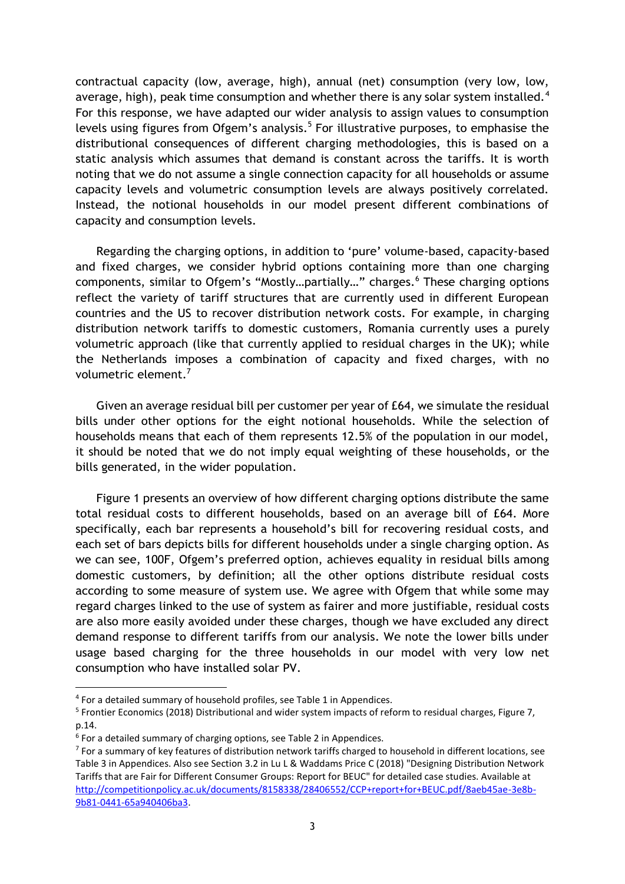contractual capacity (low, average, high), annual (net) consumption (very low, low, average, high), peak time consumption and whether there is any solar system installed.<sup>4</sup> For this response, we have adapted our wider analysis to assign values to consumption levels using figures from Ofgem's analysis.<sup>5</sup> For illustrative purposes, to emphasise the distributional consequences of different charging methodologies, this is based on a static analysis which assumes that demand is constant across the tariffs. It is worth noting that we do not assume a single connection capacity for all households or assume capacity levels and volumetric consumption levels are always positively correlated. Instead, the notional households in our model present different combinations of capacity and consumption levels.

Regarding the charging options, in addition to 'pure' volume-based, capacity-based and fixed charges, we consider hybrid options containing more than one charging components, similar to Ofgem's "Mostly…partially…" charges.<sup>6</sup> These charging options reflect the variety of tariff structures that are currently used in different European countries and the US to recover distribution network costs. For example, in charging distribution network tariffs to domestic customers, Romania currently uses a purely volumetric approach (like that currently applied to residual charges in the UK); while the Netherlands imposes a combination of capacity and fixed charges, with no volumetric element.<sup>7</sup>

Given an average residual bill per customer per year of £64, we simulate the residual bills under other options for the eight notional households. While the selection of households means that each of them represents 12.5% of the population in our model, it should be noted that we do not imply equal weighting of these households, or the bills generated, in the wider population.

Figure 1 presents an overview of how different charging options distribute the same total residual costs to different households, based on an average bill of £64. More specifically, each bar represents a household's bill for recovering residual costs, and each set of bars depicts bills for different households under a single charging option. As we can see, 100F, Ofgem's preferred option, achieves equality in residual bills among domestic customers, by definition; all the other options distribute residual costs according to some measure of system use. We agree with Ofgem that while some may regard charges linked to the use of system as fairer and more justifiable, residual costs are also more easily avoided under these charges, though we have excluded any direct demand response to different tariffs from our analysis. We note the lower bills under usage based charging for the three households in our model with very low net consumption who have installed solar PV.

 $\overline{a}$ 

<sup>&</sup>lt;sup>4</sup> For a detailed summary of household profiles, see Table 1 in Appendices.

<sup>&</sup>lt;sup>5</sup> Frontier Economics (2018) Distributional and wider system impacts of reform to residual charges, Figure 7, p.14.

<sup>&</sup>lt;sup>6</sup> For a detailed summary of charging options, see Table 2 in Appendices.

 $7$  For a summary of key features of distribution network tariffs charged to household in different locations, see Table 3 in Appendices. Also see Section 3.2 in Lu L & Waddams Price C (2018) "Designing Distribution Network Tariffs that are Fair for Different Consumer Groups: Report for BEUC" for detailed case studies. Available at [http://competitionpolicy.ac.uk/documents/8158338/28406552/CCP+report+for+BEUC.pdf/8aeb45ae-3e8b-](http://competitionpolicy.ac.uk/documents/8158338/28406552/CCP+report+for+BEUC.pdf/8aeb45ae-3e8b-9b81-0441-65a940406ba3)[9b81-0441-65a940406ba3.](http://competitionpolicy.ac.uk/documents/8158338/28406552/CCP+report+for+BEUC.pdf/8aeb45ae-3e8b-9b81-0441-65a940406ba3)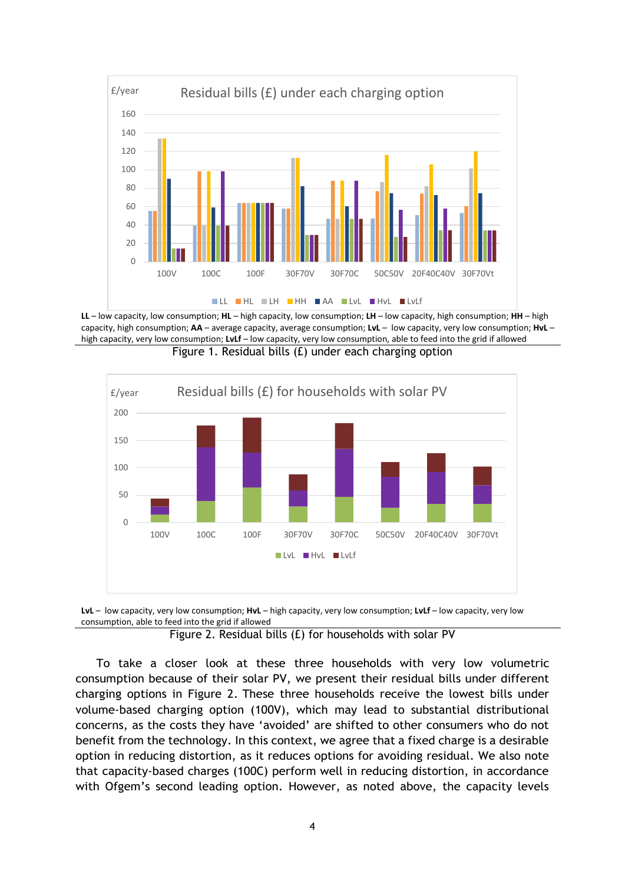

**LL** – low capacity, low consumption; **HL** – high capacity, low consumption; **LH** – low capacity, high consumption; **HH** – high capacity, high consumption; **AA** – average capacity, average consumption; **LvL** – low capacity, very low consumption; **HvL** – high capacity, very low consumption; **LvLf** – low capacity, very low consumption, able to feed into the grid if allowed Figure 1. Residual bills (£) under each charging option





Figure 2. Residual bills (£) for households with solar PV

To take a closer look at these three households with very low volumetric consumption because of their solar PV, we present their residual bills under different charging options in Figure 2. These three households receive the lowest bills under volume-based charging option (100V), which may lead to substantial distributional concerns, as the costs they have 'avoided' are shifted to other consumers who do not benefit from the technology. In this context, we agree that a fixed charge is a desirable option in reducing distortion, as it reduces options for avoiding residual. We also note that capacity-based charges (100C) perform well in reducing distortion, in accordance with Ofgem's second leading option. However, as noted above, the capacity levels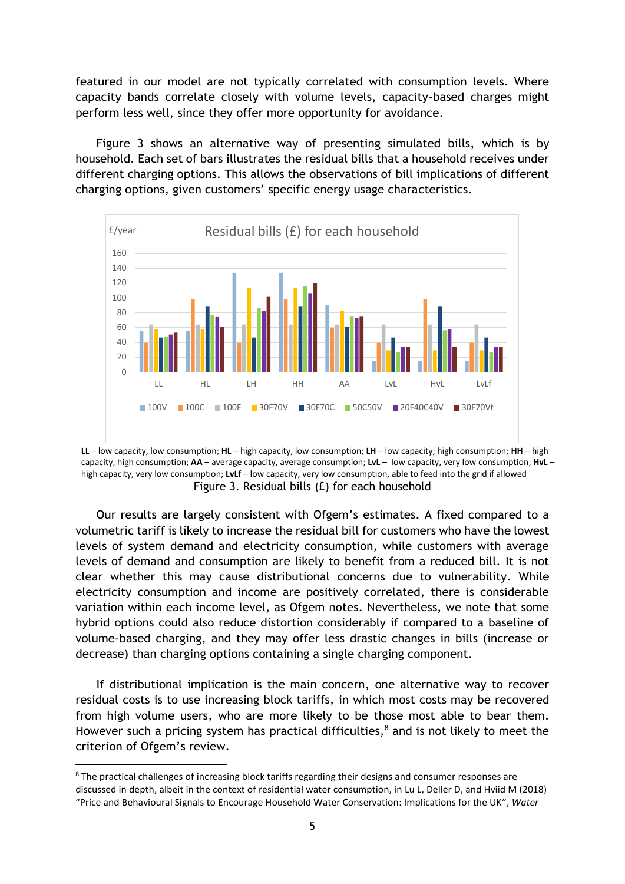featured in our model are not typically correlated with consumption levels. Where capacity bands correlate closely with volume levels, capacity-based charges might perform less well, since they offer more opportunity for avoidance.

Figure 3 shows an alternative way of presenting simulated bills, which is by household. Each set of bars illustrates the residual bills that a household receives under different charging options. This allows the observations of bill implications of different charging options, given customers' specific energy usage characteristics.





Our results are largely consistent with Ofgem's estimates. A fixed compared to a volumetric tariff is likely to increase the residual bill for customers who have the lowest levels of system demand and electricity consumption, while customers with average levels of demand and consumption are likely to benefit from a reduced bill. It is not clear whether this may cause distributional concerns due to vulnerability. While electricity consumption and income are positively correlated, there is considerable variation within each income level, as Ofgem notes. Nevertheless, we note that some hybrid options could also reduce distortion considerably if compared to a baseline of volume-based charging, and they may offer less drastic changes in bills (increase or decrease) than charging options containing a single charging component.

If distributional implication is the main concern, one alternative way to recover residual costs is to use increasing block tariffs, in which most costs may be recovered from high volume users, who are more likely to be those most able to bear them. However such a pricing system has practical difficulties, $^8$  and is not likely to meet the criterion of Ofgem's review.

**.** 

<sup>8</sup> The practical challenges of increasing block tariffs regarding their designs and consumer responses are discussed in depth, albeit in the context of residential water consumption, in Lu L, Deller D, and Hviid M (2018) "Price and Behavioural Signals to Encourage Household Water Conservation: Implications for the UK", *Water*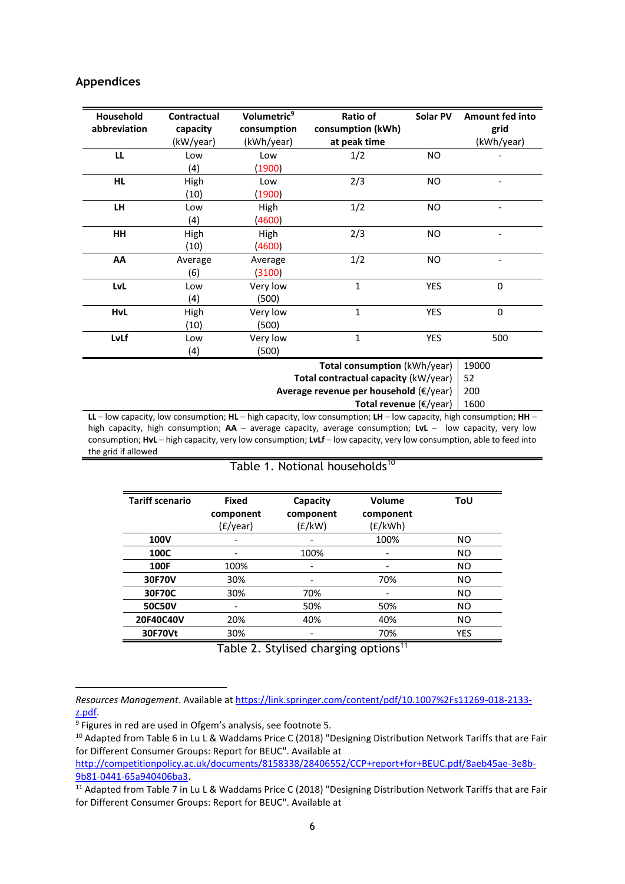#### **Appendices**

| Household<br>abbreviation | Contractual<br>capacity | Volumetric <sup>9</sup><br>consumption | Ratio of<br>consumption (kWh)       | Solar PV  | <b>Amount fed into</b><br>grid |
|---------------------------|-------------------------|----------------------------------------|-------------------------------------|-----------|--------------------------------|
|                           | (kW/year)               | (kWh/year)                             | at peak time                        |           | (kWh/year)                     |
| LL                        | Low                     | Low                                    | 1/2                                 | <b>NO</b> |                                |
|                           | (4)                     | (1900)                                 |                                     |           |                                |
| <b>HL</b>                 | High                    | Low                                    | 2/3                                 | <b>NO</b> |                                |
|                           | (10)                    | (1900)                                 |                                     |           |                                |
| <b>LH</b>                 | Low                     | High                                   | 1/2                                 | NO.       |                                |
|                           | (4)                     | (4600)                                 |                                     |           |                                |
| HH                        | High                    | High                                   | 2/3                                 | <b>NO</b> |                                |
|                           | (10)                    | (4600)                                 |                                     |           |                                |
| AA                        | Average                 | Average                                | 1/2                                 | NO.       |                                |
|                           | (6)                     | (3100)                                 |                                     |           |                                |
| LvL                       | Low                     | Very low                               | $\mathbf{1}$                        | YES       | $\mathbf 0$                    |
|                           | (4)                     | (500)                                  |                                     |           |                                |
| <b>HvL</b>                | High                    | Very low                               | $\mathbf{1}$                        | YES       | $\mathbf 0$                    |
|                           | (10)                    | (500)                                  |                                     |           |                                |
| LvLf                      | Low                     | Very low                               | $\mathbf{1}$                        | YES       | 500                            |
|                           | (4)                     | (500)                                  |                                     |           |                                |
|                           |                         |                                        | <b>Total consumption</b> (kWh/year) |           | 19000                          |

**Total contractual capacity** (kW/year) 52

**Average revenue per household** (€/year) 200

**Total revenue** (€/year) 1600

**LL** – low capacity, low consumption; **HL** – high capacity, low consumption; **LH** – low capacity, high consumption; **HH** – high capacity, high consumption; **AA** – average capacity, average consumption; **LvL** – low capacity, very low consumption; **HvL** – high capacity, very low consumption; **LvLf** – low capacity, very low consumption, able to feed into the grid if allowed

#### Table 1. Notional households<sup>10</sup>

| <b>Tariff scenario</b> | <b>Fixed</b><br>component | Capacity<br>component | Volume<br>component | ToU            |
|------------------------|---------------------------|-----------------------|---------------------|----------------|
|                        | (£/year)                  | (f/kW)                | (£/kWh)             |                |
| <b>100V</b>            | $\overline{\phantom{0}}$  |                       | 100%                | NO.            |
| 100C                   |                           | 100%                  |                     | <b>NO</b>      |
| 100F                   | 100%                      |                       |                     | N <sub>O</sub> |
| 30F70V                 | 30%                       |                       | 70%                 | <b>NO</b>      |
| 30F70C                 | 30%                       | 70%                   |                     | <b>NO</b>      |
| 50C50V                 | -                         | 50%                   | 50%                 | <b>NO</b>      |
| 20F40C40V              | 20%                       | 40%                   | 40%                 | <b>NO</b>      |
| 30F70Vt                | 30%                       |                       | 70%                 | <b>YES</b>     |

Table 2. Stylised charging options<sup>11</sup>

 $\overline{a}$ 

*Resources Management*. Available a[t https://link.springer.com/content/pdf/10.1007%2Fs11269-018-2133](https://link.springer.com/content/pdf/10.1007%2Fs11269-018-2133-z.pdf) [z.pdf.](https://link.springer.com/content/pdf/10.1007%2Fs11269-018-2133-z.pdf)

<sup>&</sup>lt;sup>9</sup> Figures in red are used in Ofgem's analysis, see footnote 5.

<sup>&</sup>lt;sup>10</sup> Adapted from Table 6 in Lu L & Waddams Price C (2018) "Designing Distribution Network Tariffs that are Fair for Different Consumer Groups: Report for BEUC". Available at

[http://competitionpolicy.ac.uk/documents/8158338/28406552/CCP+report+for+BEUC.pdf/8aeb45ae-3e8b-](http://competitionpolicy.ac.uk/documents/8158338/28406552/CCP+report+for+BEUC.pdf/8aeb45ae-3e8b-9b81-0441-65a940406ba3)[9b81-0441-65a940406ba3.](http://competitionpolicy.ac.uk/documents/8158338/28406552/CCP+report+for+BEUC.pdf/8aeb45ae-3e8b-9b81-0441-65a940406ba3)

<sup>&</sup>lt;sup>11</sup> Adapted from Table 7 in Lu L & Waddams Price C (2018) "Designing Distribution Network Tariffs that are Fair for Different Consumer Groups: Report for BEUC". Available at